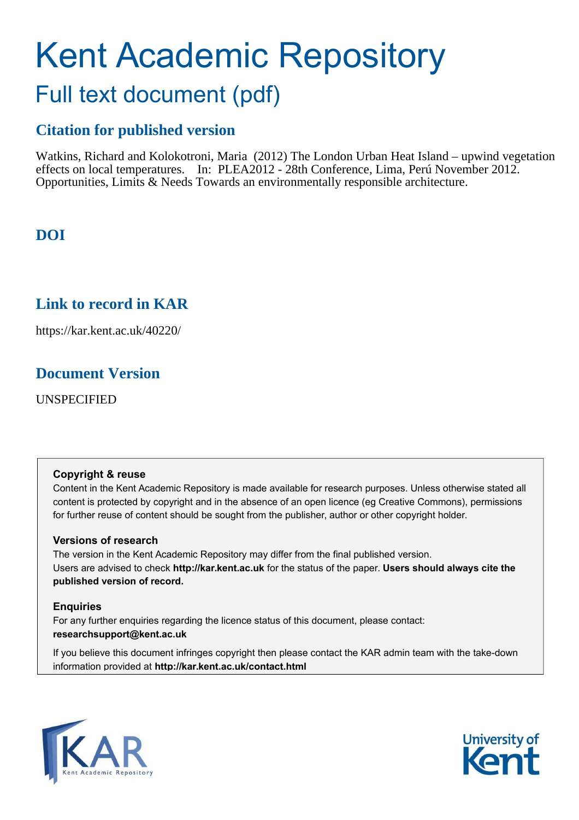# Kent Academic Repository Full text document (pdf)

## **Citation for published version**

Watkins, Richard and Kolokotroni, Maria (2012) The London Urban Heat Island – upwind vegetation effects on local temperatures. In: PLEA2012 - 28th Conference, Lima, Perú November 2012. Opportunities, Limits & Needs Towards an environmentally responsible architecture.

# **DOI**

## **Link to record in KAR**

https://kar.kent.ac.uk/40220/

## **Document Version**

UNSPECIFIED

## **Copyright & reuse**

Content in the Kent Academic Repository is made available for research purposes. Unless otherwise stated all content is protected by copyright and in the absence of an open licence (eg Creative Commons), permissions for further reuse of content should be sought from the publisher, author or other copyright holder.

## **Versions of research**

The version in the Kent Academic Repository may differ from the final published version. Users are advised to check **http://kar.kent.ac.uk** for the status of the paper. **Users should always cite the published version of record.**

## **Enquiries**

For any further enquiries regarding the licence status of this document, please contact: **researchsupport@kent.ac.uk**

If you believe this document infringes copyright then please contact the KAR admin team with the take-down information provided at **http://kar.kent.ac.uk/contact.html**



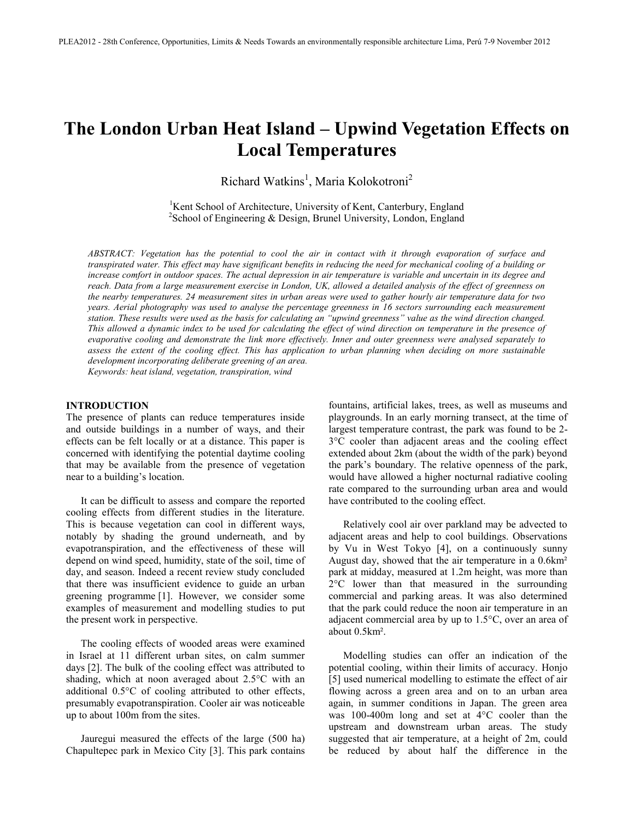# **The London Urban Heat Island – Upwind Vegetation Effects on Local Temperatures**

Richard Watkins<sup>1</sup>, Maria Kolokotroni<sup>2</sup>

<sup>1</sup>Kent School of Architecture, University of Kent, Canterbury, England  $2$ School of Engineering & Design, Brunel University, London, England

*ABSTRACT: Vegetation has the potential to cool the air in contact with it through evaporation of surface and transpirated water. This effect may have significant benefits in reducing the need for mechanical cooling of a building or increase comfort in outdoor spaces. The actual depression in air temperature is variable and uncertain in its degree and reach. Data from a large measurement exercise in London, UK, allowed a detailed analysis of the effect of greenness on the nearby temperatures. 24 measurement sites in urban areas were used to gather hourly air temperature data for two years. Aerial photography was used to analyse the percentage greenness in 16 sectors surrounding each measurement station. These results were used as the basis for calculating an "upwind greenness" value as the wind direction changed. This allowed a dynamic index to be used for calculating the effect of wind direction on temperature in the presence of evaporative cooling and demonstrate the link more effectively. Inner and outer greenness were analysed separately to assess the extent of the cooling effect. This has application to urban planning when deciding on more sustainable development incorporating deliberate greening of an area. Keywords: heat island, vegetation, transpiration, wind*

#### **INTRODUCTION**

The presence of plants can reduce temperatures inside and outside buildings in a number of ways, and their effects can be felt locally or at a distance. This paper is concerned with identifying the potential daytime cooling that may be available from the presence of vegetation near to a building's location.

 It can be difficult to assess and compare the reported cooling effects from different studies in the literature. This is because vegetation can cool in different ways, notably by shading the ground underneath, and by evapotranspiration, and the effectiveness of these will depend on wind speed, humidity, state of the soil, time of day, and season. Indeed a recent review study concluded that there was insufficient evidence to guide an urban greening programme [1]. However, we consider some examples of measurement and modelling studies to put the present work in perspective.

 The cooling effects of wooded areas were examined in Israel at 11 different urban sites, on calm summer days [2]. The bulk of the cooling effect was attributed to shading, which at noon averaged about 2.5°C with an additional 0.5°C of cooling attributed to other effects, presumably evapotranspiration. Cooler air was noticeable up to about 100m from the sites.

 Jauregui measured the effects of the large (500 ha) Chapultepec park in Mexico City [3]. This park contains

fountains, artificial lakes, trees, as well as museums and playgrounds. In an early morning transect, at the time of largest temperature contrast, the park was found to be 2- 3°C cooler than adjacent areas and the cooling effect extended about 2km (about the width of the park) beyond the park's boundary. The relative openness of the park, would have allowed a higher nocturnal radiative cooling rate compared to the surrounding urban area and would have contributed to the cooling effect.

 Relatively cool air over parkland may be advected to adjacent areas and help to cool buildings. Observations by Vu in West Tokyo [4], on a continuously sunny August day, showed that the air temperature in a 0.6km² park at midday, measured at 1.2m height, was more than 2°C lower than that measured in the surrounding commercial and parking areas. It was also determined that the park could reduce the noon air temperature in an adjacent commercial area by up to 1.5°C, over an area of about 0.5km².

 Modelling studies can offer an indication of the potential cooling, within their limits of accuracy. Honjo [5] used numerical modelling to estimate the effect of air flowing across a green area and on to an urban area again, in summer conditions in Japan. The green area was 100-400m long and set at 4°C cooler than the upstream and downstream urban areas. The study suggested that air temperature, at a height of 2m, could be reduced by about half the difference in the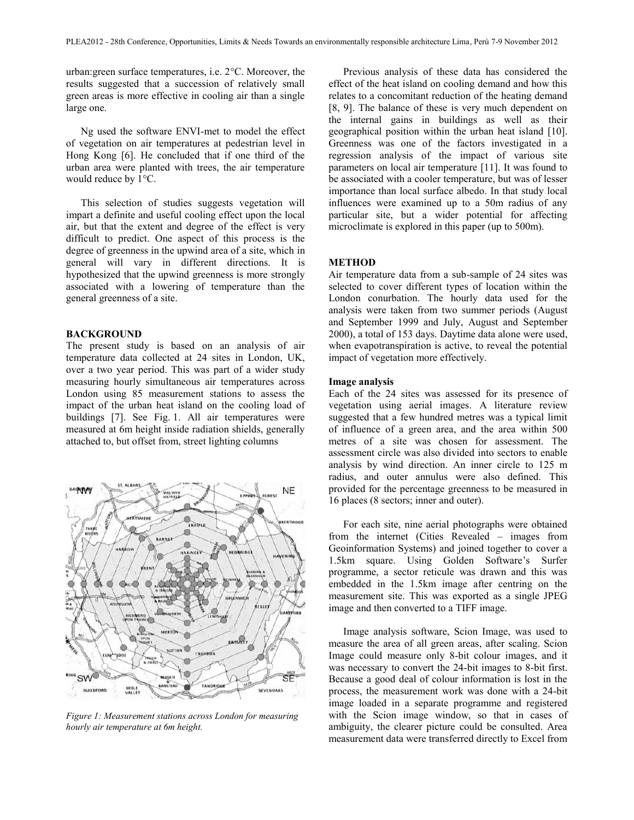urban:green surface temperatures, i.e. 2°C. Moreover, the results suggested that a succession of relatively small green areas is more effective in cooling air than a single large one.

Ng used the software ENVI-met to model the effect of vegetation on air temperatures at pedestrian level in Hong Kong [6]. He concluded that if one third of the urban area were planted with trees, the air temperature would reduce by 1°C.

 This selection of studies suggests vegetation will impart a definite and useful cooling effect upon the local air, but that the extent and degree of the effect is very difficult to predict. One aspect of this process is the degree of greenness in the upwind area of a site, which in general will vary in different directions. It is hypothesized that the upwind greenness is more strongly associated with a lowering of temperature than the general greenness of a site.

#### **BACKGROUND**

The present study is based on an analysis of air temperature data collected at 24 sites in London, UK, over a two year period. This was part of a wider study measuring hourly simultaneous air temperatures across London using 85 measurement stations to assess the impact of the urban heat island on the cooling load of buildings [7]. See Fig. 1. All air temperatures were measured at 6m height inside radiation shields, generally attached to, but offset from, street lighting columns



*Figure 1: Measurement stations across London for measuring hourly air temperature at 6m height.* 

 Previous analysis of these data has considered the effect of the heat island on cooling demand and how this relates to a concomitant reduction of the heating demand [8, 9]. The balance of these is very much dependent on the internal gains in buildings as well as their geographical position within the urban heat island [10]. Greenness was one of the factors investigated in a regression analysis of the impact of various site parameters on local air temperature [11]. It was found to be associated with a cooler temperature, but was of lesser importance than local surface albedo. In that study local influences were examined up to a 50m radius of any particular site, but a wider potential for affecting microclimate is explored in this paper (up to 500m).

#### **METHOD**

Air temperature data from a sub-sample of 24 sites was selected to cover different types of location within the London conurbation. The hourly data used for the analysis were taken from two summer periods (August and September 1999 and July, August and September 2000), a total of 153 days. Daytime data alone were used, when evapotranspiration is active, to reveal the potential impact of vegetation more effectively.

#### **Image analysis**

Each of the 24 sites was assessed for its presence of vegetation using aerial images. A literature review suggested that a few hundred metres was a typical limit of influence of a green area, and the area within 500 metres of a site was chosen for assessment. The assessment circle was also divided into sectors to enable analysis by wind direction. An inner circle to 125 m radius, and outer annulus were also defined. This provided for the percentage greenness to be measured in 16 places (8 sectors; inner and outer).

 For each site, nine aerial photographs were obtained from the internet (Cities Revealed – images from Geoinformation Systems) and joined together to cover a 1.5km square. Using Golden Software's Surfer programme, a sector reticule was drawn and this was embedded in the 1.5km image after centring on the measurement site. This was exported as a single JPEG image and then converted to a TIFF image.

 Image analysis software, Scion Image, was used to measure the area of all green areas, after scaling. Scion Image could measure only 8-bit colour images, and it was necessary to convert the 24-bit images to 8-bit first. Because a good deal of colour information is lost in the process, the measurement work was done with a 24-bit image loaded in a separate programme and registered with the Scion image window, so that in cases of ambiguity, the clearer picture could be consulted. Area measurement data were transferred directly to Excel from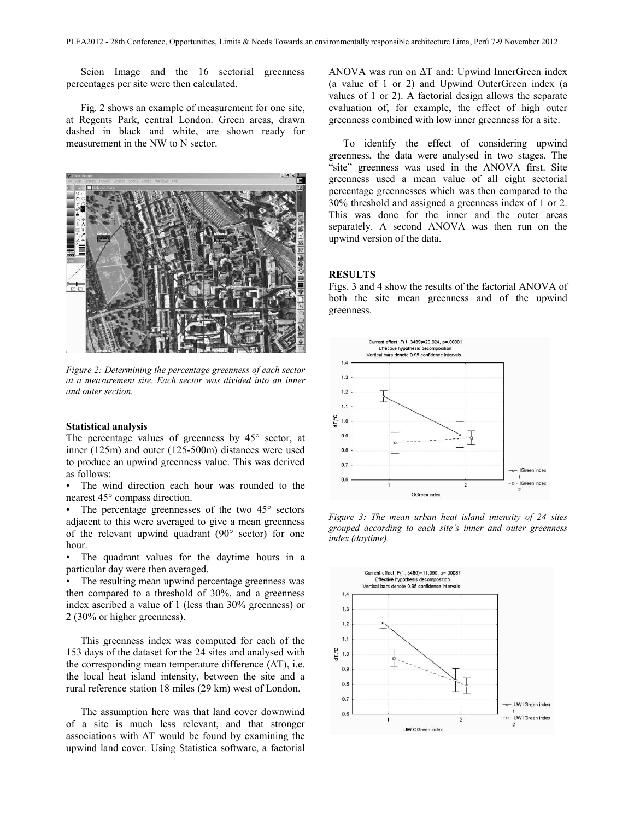Scion Image and the 16 sectorial greenness percentages per site were then calculated.

 Fig. 2 shows an example of measurement for one site, at Regents Park, central London. Green areas, drawn dashed in black and white, are shown ready for measurement in the NW to N sector.



*Figure 2: Determining the percentage greenness of each sector at a measurement site. Each sector was divided into an inner and outer section.* 

#### **Statistical analysis**

The percentage values of greenness by 45° sector, at inner (125m) and outer (125-500m) distances were used to produce an upwind greenness value. This was derived as follows:

The wind direction each hour was rounded to the nearest 45° compass direction.

• The percentage greennesses of the two 45° sectors adjacent to this were averaged to give a mean greenness of the relevant upwind quadrant (90° sector) for one hour.

• The quadrant values for the daytime hours in a particular day were then averaged.

• The resulting mean upwind percentage greenness was then compared to a threshold of 30%, and a greenness index ascribed a value of 1 (less than 30% greenness) or 2 (30% or higher greenness).

This greenness index was computed for each of the 153 days of the dataset for the 24 sites and analysed with the corresponding mean temperature difference  $(\Delta T)$ , i.e. the local heat island intensity, between the site and a rural reference station 18 miles (29 km) west of London.

 The assumption here was that land cover downwind of a site is much less relevant, and that stronger associations with  $\Delta T$  would be found by examining the upwind land cover. Using Statistica software, a factorial ANOVA was run on  $\Delta T$  and: Upwind InnerGreen index (a value of 1 or 2) and Upwind OuterGreen index (a values of 1 or 2). A factorial design allows the separate evaluation of, for example, the effect of high outer greenness combined with low inner greenness for a site.

 To identify the effect of considering upwind greenness, the data were analysed in two stages. The "site" greenness was used in the ANOVA first. Site greenness used a mean value of all eight sectorial percentage greennesses which was then compared to the 30% threshold and assigned a greenness index of 1 or 2. This was done for the inner and the outer areas separately. A second ANOVA was then run on the upwind version of the data.

#### **RESULTS**

Figs. 3 and 4 show the results of the factorial ANOVA of both the site mean greenness and of the upwind greenness.



*Figure 3: The mean urban heat island intensity of 24 sites grouped according to each site's inner and outer greenness index (daytime).* 

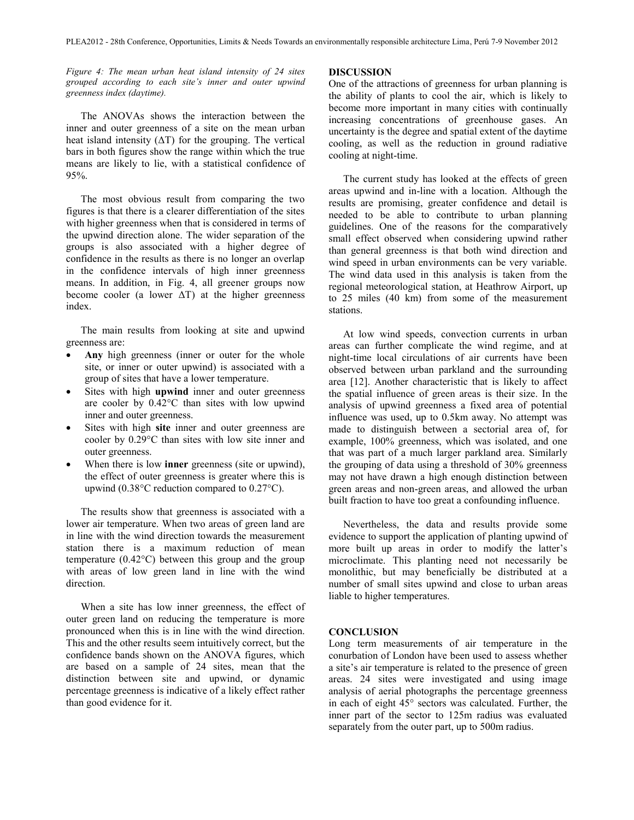*Figure 4: The mean urban heat island intensity of 24 sites grouped according to each site's inner and outer upwind greenness index (daytime).* 

 The ANOVAs shows the interaction between the inner and outer greenness of a site on the mean urban heat island intensity  $(\Delta T)$  for the grouping. The vertical bars in both figures show the range within which the true means are likely to lie, with a statistical confidence of 95%.

 The most obvious result from comparing the two figures is that there is a clearer differentiation of the sites with higher greenness when that is considered in terms of the upwind direction alone. The wider separation of the groups is also associated with a higher degree of confidence in the results as there is no longer an overlap in the confidence intervals of high inner greenness means. In addition, in Fig. 4, all greener groups now become cooler (a lower  $\Delta T$ ) at the higher greenness index.

 The main results from looking at site and upwind greenness are:

- **Any** high greenness (inner or outer for the whole site, or inner or outer upwind) is associated with a group of sites that have a lower temperature.
- Sites with high **upwind** inner and outer greenness are cooler by 0.42°C than sites with low upwind inner and outer greenness.
- Sites with high **site** inner and outer greenness are cooler by 0.29°C than sites with low site inner and outer greenness.
- When there is low **inner** greenness (site or upwind), the effect of outer greenness is greater where this is upwind (0.38°C reduction compared to 0.27°C).

 The results show that greenness is associated with a lower air temperature. When two areas of green land are in line with the wind direction towards the measurement station there is a maximum reduction of mean temperature (0.42°C) between this group and the group with areas of low green land in line with the wind direction.

 When a site has low inner greenness, the effect of outer green land on reducing the temperature is more pronounced when this is in line with the wind direction. This and the other results seem intuitively correct, but the confidence bands shown on the ANOVA figures, which are based on a sample of 24 sites, mean that the distinction between site and upwind, or dynamic percentage greenness is indicative of a likely effect rather than good evidence for it.

#### **DISCUSSION**

One of the attractions of greenness for urban planning is the ability of plants to cool the air, which is likely to become more important in many cities with continually increasing concentrations of greenhouse gases. An uncertainty is the degree and spatial extent of the daytime cooling, as well as the reduction in ground radiative cooling at night-time.

 The current study has looked at the effects of green areas upwind and in-line with a location. Although the results are promising, greater confidence and detail is needed to be able to contribute to urban planning guidelines. One of the reasons for the comparatively small effect observed when considering upwind rather than general greenness is that both wind direction and wind speed in urban environments can be very variable. The wind data used in this analysis is taken from the regional meteorological station, at Heathrow Airport, up to 25 miles (40 km) from some of the measurement stations.

 At low wind speeds, convection currents in urban areas can further complicate the wind regime, and at night-time local circulations of air currents have been observed between urban parkland and the surrounding area [12]. Another characteristic that is likely to affect the spatial influence of green areas is their size. In the analysis of upwind greenness a fixed area of potential influence was used, up to 0.5km away. No attempt was made to distinguish between a sectorial area of, for example, 100% greenness, which was isolated, and one that was part of a much larger parkland area. Similarly the grouping of data using a threshold of 30% greenness may not have drawn a high enough distinction between green areas and non-green areas, and allowed the urban built fraction to have too great a confounding influence.

 Nevertheless, the data and results provide some evidence to support the application of planting upwind of more built up areas in order to modify the latter's microclimate. This planting need not necessarily be monolithic, but may beneficially be distributed at a number of small sites upwind and close to urban areas liable to higher temperatures.

#### **CONCLUSION**

Long term measurements of air temperature in the conurbation of London have been used to assess whether a site's air temperature is related to the presence of green areas. 24 sites were investigated and using image analysis of aerial photographs the percentage greenness in each of eight 45° sectors was calculated. Further, the inner part of the sector to 125m radius was evaluated separately from the outer part, up to 500m radius.